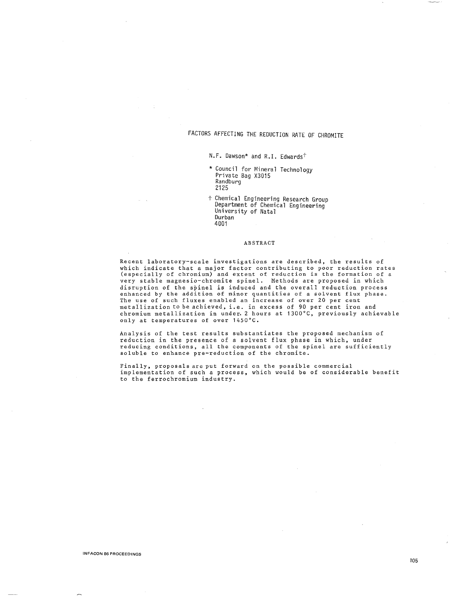# FACTORS AFFECTING THE REDUCTION RATE OF CHROMITE

# N.F. Dawson\* and R.I. Edwards<sup>+</sup>

- \* Council for Mineral Technology Private Bag X3015 Randburg 2125
- t Chemical Engineering Research Group Department of Chemical Engineering University of Natal Durban 4001

## ABSTRACT

Recent laboratory-scale investigations are described, the resuits of which indicate that a major factor contributing to poor reduction rates (especially of chromium) and extent of reduction is the formation of a very stable magnesio-chromite spinel. Methods are proposed in which disruption of the spinel is induced and the overall reduction process enhanced by the addition of minor quantities of a solvent flux phase. The use of such fluxes enabled an increase of over 20 per cent metallization to be achieved, i.e. in excess of 90 per cent iron and chromium metallization in under. 2 hours at 1300°C, previously achievable only at temperatures of over 1450°C.

Analysis of the test results substantiates the proposed mechanism of reduction in the presence of a solvent flux phase in which, under reducing conditions, all the components of the spinel are sufficiently soluble to enhance pre-reduction of the chromite.

Finally, proposals are put forward on the possible commercial implementation of such a process, which would be of considerable benefit to the ferrochromium industry.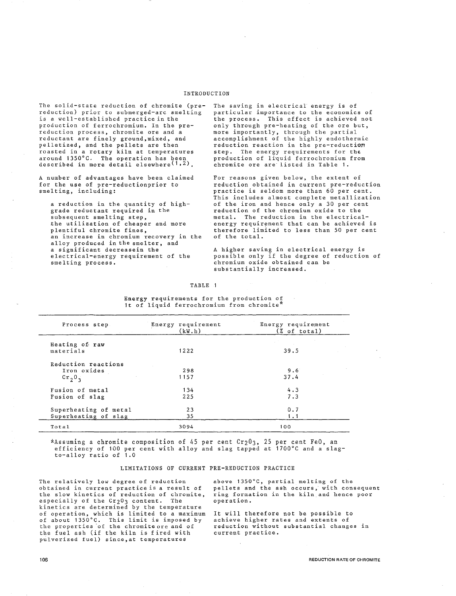### INTRODUCTION

The solid-state reduction of chromite (prereduction) prior to submerged-arc smelting is a well-established practice in the production of ferrochromium. In the prereduction process, chromite ore and a reductant are finely ground,mixed, and pelletized, and the pellets are then roasted in a rotary kiln at temperatures around 1350°C. The operation has been<br>described in more detail elsewhere<sup>(1,2)</sup>

A number of advantages have been claimed for the use of pre-reductionprior to smelting, including:

a reduction in the quantity of highgrade reductant required in the subsequent smelting step, the utilization of cheaper and more plentiful chromite fines, an increase in chromium recovery in the alloy produced in the smelter, and a significant decreasein the electrical-energy requirement of the smelting process.

The saving in electrical energy is of particular importance to the economics of the process. This effect is achieved not only through pre-heating of the ore but, enty entergn produceding or the end of accomplishment of the highly endothermic reduction reaction in the pre-reduction step. The energy requirements for the production of liquid ferrochromium from chromite ore are listed in Table 1.

For reasons given below, the extent of reduction obtained in current pre-reduction practice is seldom more than 60 per cent. This includes almost complete metallization of the iron and hence only a 30 per cent reduction of the chromium oxide to the metal. The reduction in the electricalenergy requirement that can be achieved is therefore limited to less than 50 per cent of the total.

A higher saving in electrical energy is possible only if the degree of reduction of chromium oxide obtained can be substantially increased.

### TABLE 1

| Process step          | Energy requirement<br>(kW, h) | Energy requirement<br>$(X \text{ of total})$ |
|-----------------------|-------------------------------|----------------------------------------------|
| Heating of raw        |                               |                                              |
| materials             | 1222                          | 39.5                                         |
| Reduction reactions   |                               |                                              |
| Iron oxides           | 298                           | 9.6                                          |
| $Cr_{2}0_{3}$         | 1157                          | 37.4                                         |
| Fusion of metal       | 134                           | 4.3                                          |
| Fusion of slag        | 225                           | 7.3                                          |
| Superheating of metal | 23                            | 0.7                                          |
| Superheating of slag  | 35                            | 1.1                                          |
| Total                 | 3094                          | 100                                          |

Energy requirements for the production of 1t of liquid ferrochromium from chromite\*

\*Assuming a chromite composition of 45 per cent Cr203, 25 per cent FeO, an efficiency of 100 per cent with alloy and slag tapped at 1700°C and a slagto-alloy ratio of 1.0

## LIMITATIONS OF CURRENT PRE-REDUCTION PRACTICE

The relatively low degree of reduction obtained in current practice is a result of the slow kinetics of reduction of chromite, especially of the Cr203 content. The kinetics are determined by the temperature of operation, which is limited to a maximum of about 1350°C. This limit is imposed by the properties ·of the chromite ore and of the fuel ash (if the kiln is fired with pulverized fuel) since,at temperatures

above 1350°C, partial melting of the pellets and the ash occurs, with consequent ring formation in the kiln and hence poor operation.

It will therefore not be possible to achieve higher rates and extents of reduction without substantial changes in current practice.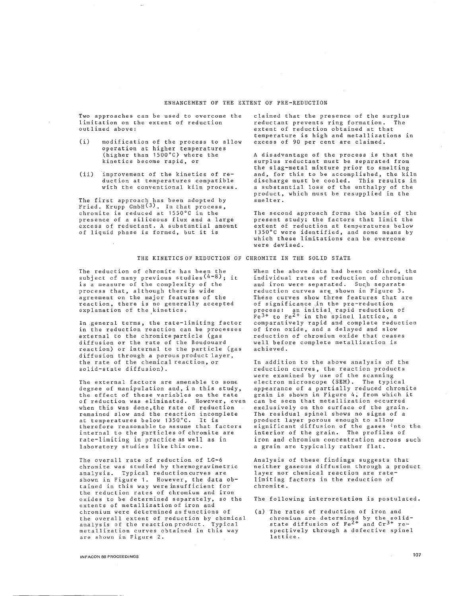### ENHANCEMENT OF THE EXTENT OF PRE-REDUCTION

Two approaches can be used to overcome the limitation on the extent of reduction outlined above:

- $(i)$ modification of the process to allow operation at higher temperatures (higher than 1500°C) where the kinetics become rapid, or
- $(iii)$ improvement of the kinetics of reduction at temperatures compatible with the conventional kiln process.

The first approach has been adopted by<br>Fried. Krupp GmbH<sup>(3)</sup>. In that process, chromite is reduced at 1550°C in the presence of a siliceous flux and a large excess of reductant. A substantial amount of liquid phase is formed, but it is

claimed that the presence of the surplus reductant prevents ring formation. The extent of reduction obtained at that temperature is high and metallizations in excess of 90 per cent are claimed.

A disadvantage of the process is that the surplus reductant must be separated from the slag-metal mixture prior to smelting and, for this to be accomplished, the kiln discharge must be cooled. This results in a substantial loss of the enthalpy of the product, which must be resupplied in the smelter.

The second approach forms the basis of the present study; the factors that limit the extent of reduction at temperatures below 1350°C were identified, and some means by which these limitations can be overcome were devised.

# THE KINETICS OF REDUCTION OF CHROMITE IN THE SOLID STATE

The reduction of chromite has been the subject of many previous studies  $(4-8)$ ; it is a measure of the complexity of the process that, although thereis wide agreement on the major features of the reaction, there is no generally accepted explanation of the kinetics.

ln .general terms, the rate-limiting factor in the reduction reaction can be processes external to the chromite particle (gas diffusion or the rate of the Boudouard reaction) or internal to the particle (gas diffusion through a porous product layer, the rate of the chemical reaction, or solid-state diffusion).

The external factors are amenable to some degree of manipulation and, in this study, the effect of these variables on the rate of reduction was eliminated. However, even when this was done,the rate of reduction remained slow and the reaction incomplete at temperatures below 1350°C. It is therefore reasonable to assume that factors internal to the particles of chromite are rate-limiting in practice as well as in laboratory studies like this one.

The overall rate of reduction of LG-6 **chromite was studied by thermogravimetric**  analysis. Typical reductioncurves are shown in Figure 1. However, the data obtained in this way wereinsufficient for the reduction rates of chromium and iron oxides to be determined separately, so the extents of metallization of iron and chromium were determined as functions of the overall extent of reduction by chemical analysis of the reaction product. Typical metallization curves obtained in this way **are shown in Figure 2.** 

When the above data had been combined, the individual rates of reduction of chromium and iron were separated. Such separate reduction curves are shown in Figure 3. These curves show three features that are of significance in the pre-reduction process: an initial rapid reduction of  $Fe<sup>3+</sup>$  to  $Fe<sup>2+</sup>$  in the spinel lattice, a comparatively rapid and complete reduction of iron oxide, and a delayed and slow reduction of chromium oxide that ceases well before complete metallization is achieved.

In addition to the above analysis of the reduction curves, the reaction products were examined by use of the scanning electron microscope (SEM). The typical appearance of a partially reduced chromite grain is shown in Figure 4; from which it can be seen that metallization occurred exclusively on the surface of the grain. The residual spinel shows no signs of a product layer porous enough to allow significant diffusion of the gases into the interior of the grain. The profiles of iron and chromium concentration across such a grain are typically rather flat.

Analysis of these findings suggests that neither gaseous diffusion through a product layer nor chemical reaction are ratelimiting factors in the reduction of chromite.

The following interpretation is postulated.

(a) The rates of reduction of iron and **chromium are determined by the solid-**state diffusion of Fe2+ and cr3+ respectively through a defective spinel **lattice.**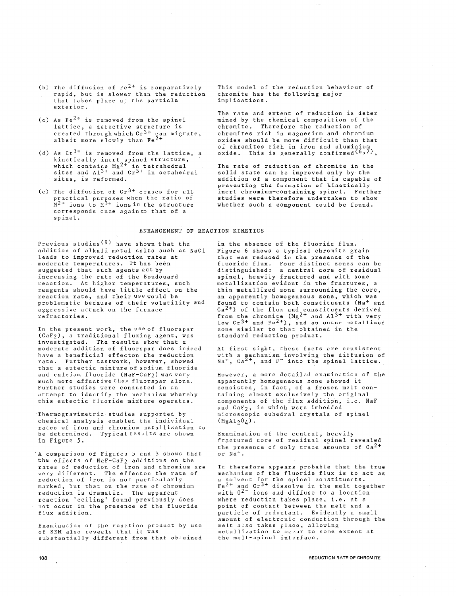- (b) The diffusion of  $Fe<sup>2+</sup>$  is comparatively rapid, but is slower than the reduction that takes place at the particle exterior.
- (c) As  $Fe<sup>2+</sup>$  is removed from the spinel lattice, a defective structure is created through which Cr<sup>3+</sup> can migrate,<br>albeit more slowly than Fe<sup>2+</sup>
- (d) As  $Cr^{3+}$  is removed from the lattice, a kinetically inert spinel structure, which contains  $Mg^{2+}$  in tetrahedral sites and  $A1^{3+}$  and  $Cr^{3+}$  in octahedral sites, is reformed.
- (e) The diffusion of  $Cr^{3+}$  ceases for all practical purposes when the ratio of  $M^{2+}$  ions to  $M^{3+}$  ions in the structure corresponds once againto that of a spinel.

This model of the reduction behaviour of chromite has the following major implications.

The rate and extent of reduction is determined by the chemical composition of the chromite. Therefore the reduction of chromites rich in magnesium and chromium oxides should be more difficult than that of chromites rich in iron and aluminium oxide. This is generally confirmed<sup>(6,7)</sup>.

The rate of reduction of chromite in the solid state can be improved only by the addition of a component that is capable of preventing the formation of kinetically inert chromium-containing spinel. Further studies were therefore undertaken to show whether such a component could be found.

## ENHANCEMENT OF REACTION KINETICS

Previous studies<sup>(9)</sup> have shown that the addition of alkali metal salts such as NaCl leads to improved reduction rates at moderate temperatures. I't has been suggested that such agents act by increasing the rate of the Boudouard reaction. At higher temperatures, such reagents should have little effect on the reaction rate, and their use would be problematic because of their volatility and aggressive attack on the furnace refractories.

In the present work, the use of fluorspar (CaF2), a traditional fluxing agent, was investigated. The results show that a moderate addition of fluorspar does indeed have a beneficial effecton the reduction rate. Further testwork, however, showed that a eutectic mixture of sodium fluoride and calcium fluoride (NaF-CaF2) was very much more effective than fluorspar alone. Further studies were conducted in an attempt to identify the mechanism whereby this eutectic fluoride mixture operates.

Thermogravimetric studies supported by chemical analysis enabled the individual rates of iron and chromium metallization to be determined. Typical results are shown in Figure 5.

A comparison of Figures 5 and 3 shows that the effects of NaF-CaF2 additions on the **rates of reduction of iron and chromium are**  very different. The effecton the rate of reduction of iron is not particularly marked, but that on the rate of chromium reduction is dramatic. The apparent reaction 'ceiling' found previously does not occur in the presence of the fluoride flux addition.

Examination of the reaction product by use of SEM also reveals that it was substantially different from that obtained in the absence of the fluoride flux. Figure 6 shows a typical chromite grain that was reduced in the presence of the fluoride flux. Four distinct zones can be distinguished: a central core of residual spinel, heavily fractured and with some metallization evident in the fractures, a thin metallized zone surrounding the core, an apparently homogeneous zone, which was found to contain both constituents (Na+ and Ca<sup>2+</sup>) of the flux and constituents derived from the chromite  $(Mg^{2+}$  and  $Al^{3+}$  with very low  $Cr^{3+}$  and  $Fe^{2+}$ ), and an outer metallized zone similar to that obtained in the standard reduction product.

At first sigbt, these facts are consistent with a mechanism involving the diffusion of Na<sup>+</sup>, Ca<sup>2+</sup>, and F<sup>-</sup> into the spinel lattice.

However, a more detailed examination of the apparently homogeneous zone showed it consisted, in fact, of a frozen melt containing almost exclusively the original components of the flux addition, i.e. NaF and CaFz, in which were imbedded microscopic euhedral crystals of spinel  $(MgA1_20_4)$ .

Examination of the central, heavily fractured core of residual spinel revealed the presence of only trace amounts of  $Ca^{2+}$ or Na+.

It therefore appears probable that the true mechanism of the fluoride flux is to act as a solvent for the spinel constituents,  $Fe<sup>2+</sup>$  and  $Cr<sup>3+</sup>$  dissolve in the melt together with  $0<sup>2</sup>$  ions and diffuse to a location where reduction takes place, i.e. at a point of contact between the melt and a particle of reductant. Evidently a small amount of electronic conduction through the melt also takes place, allowing metallization to occur to some extent at the melt-spinel interface.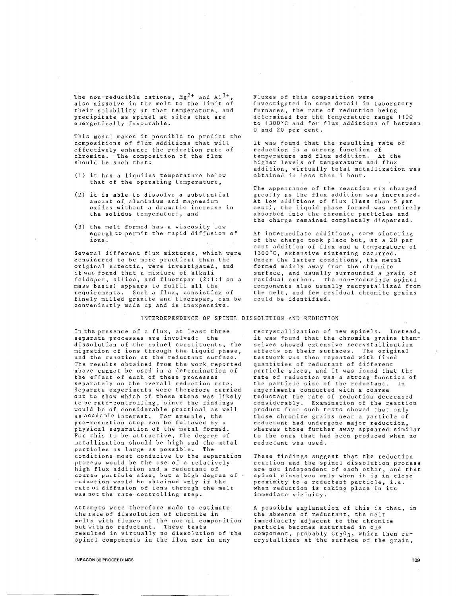The non-reducible cations,  $Mg^{2+}$  and  $A1^{3+}$ also dissolve in the melt to the limit of their solubility at that temperature, and precipitate as spinel at sites that are energetically favourable.

This model makes it possible to predict the compositions of flux additions that will effectively enhance the reduction rate of chromite. The composition of the flux should be such that:

- (1) it has a liquidus temperature below that of the operating temperature,
- (2) it is able to dissolve a substantial amount of aluminium and magnesium oxides without a dramatic increase in the solidus temperature, and
- (3) the melt formed has a viscosity low enough to permit the rapid diffusion of ions.

Several different flux mixtures, which were considered to be more practical than the original eutectic, were investigated, and it was found that a mixture of alkali feldspar, silica, and fluorspar (2:1:1 on a mass basis) appears to fulfiL all the requirements. Such a flux, consisting of finely milled granite and fluorspar, can be conveniently made up and is inexpensive.

Fluxes of this composition were investigated in some detail in laboratory furnaces, the rate of reduction being determined for the temperature range 1100 to 1300°C and for flux additions of between 0 and 20 per cent.

It was found that the resulting rate of reduction is a strong function of temperature and flux addition. At the higher levels of temperature and flux addition, virtually total metallization was obtained in less than 1 hour.

The appearance of the reaction mix changed greatly as the flux addition was increased. At low additions of flux (less than 5 per cent), the liquid phase formed was entirely absorbed into the chromite particles and the charge remained completely dispersed.

At intermediate additions, some sintering of the charge took place but, at a 20 per cent addition of flux and a temperature of 1300°C, extensive sintering occurred. Under the latter conditions, the metal formed mainly away from the chromite surface, and usually surrounded a grain of residual carbon. The non-reducible spinel components also usually recrystallized from the melt, and few residual chromite grains could be identified.

### INTERDEPENDENCE OF SPINEL DISSOLUTION AND REDUCTION

In the presence of a flux, at least three separate processes are involved: the dissolution of the spinel constituents, the migration of ions through the liquid phase, and the reaction at the reductant surface. The results obtained from the work. reported above cannot be used in a determination of the effect of each of these processes separately on the overall reduction rate. Separate experiments were therefore carried out to show which of these steps was likely to be rate-controlling, since the findings would be of considerable practical as well as academic interest. For example, the pre-reduction step can be followed by a physical separation of the metal formed. For this to be attractive, the degree of metallization should be high and the metal particles as large as possible. The conditions most conducive to the separation process would be the use of a relatively high flux addition and a reductant of **coarse particle size, but a high degree of**  reduction would be obtained only if the rate of diffusion of ions through the melt was not the rate-controlling step.

Attempts were therefore made to estimate the rate of dissolution of chromite in melts with fluxes of the normal composition but with no reductant. These tests resulted in virtually no dissolution of the spinel components in the flux nor in any

recrystallization of new spinels. Instead, it was found that the chromite grains themselves showed extensive recrystallization effects on their surfaces. The original testwork was then repeated with fixed quantities of reductant of different particle sizes, and it was found that the rate of reduction was a strong function of the particle size of the reductant. In experiments conducted with a coarse reductant the rate of reduction decreased considerably. Examination of the reaction product from such tests showed that only those chromite grains near a particle of **reductant had undergone major reduction,**  whereas those further away appeared similar to the ones that had been produced when no reductant was used.

These findings suggest that the reduction reaction and the spinel dissolution process are not independent of each other, and that spinel dissolves only when it is in close **proximity to a reductant particle, i.e.**  when reduction is taking place in its immediate vicinity.

A possible explanation of this is that, in the absence of reductant, the melt immediately adjacent to the chromite particle becomes saturated in one component, probably  $Cr<sub>2</sub>O<sub>3</sub>$ , which then recrystallizes at the surface of the grain,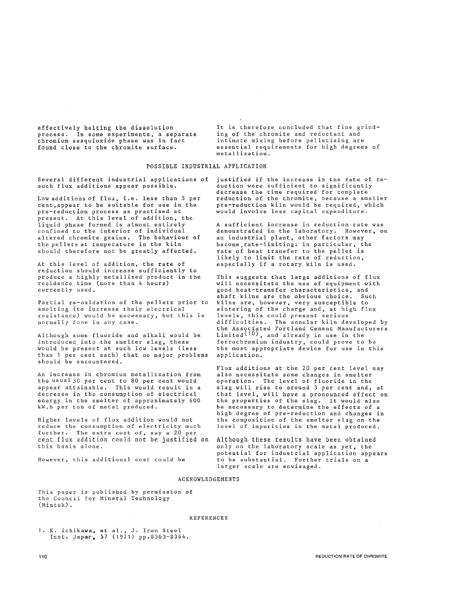effectively halting the dissolution process. In some experiments, a separate chromium sesquioxide phase was in fact found close to the chromite surface,

It is therefore concluded that fine grinding of the chromite and reductant and intimate mixing before pelletizing are essential requirements for high degrees of metallization.

# POSSIBLE INDUSTRIAL APPLICATION

Several different industrial applications of such flux additions appear possible.

Low additions of flux, i.e. less than 5 per cent,appear to be suitable for use in the pre-reduction process as practised at present. At this level of addition, the liquid phase formed is almost entirely confined to the interior of individual altered chromite grains. The behaviour of the pellets at temperature in the kiln should therefore not be greatly affected.

At this level of addition, the rate of reduction should increase sufficiently to produce a highly metallized product in the residence time (more than 4 hours) currently used.

Partial re-oxidation of the pellets prior to smelting (to increase their electrical resistance) would be necessary, but this is normally done in any case.

Although some fluoride and alkali would be introduced into the smelter slag, these would be present at such low levels (less than 1 per cent each) that no major problems should be encountered.

An increase in chromium metallization from the usual 30 per cent to 80 per cent would appear attainable. This would result in a decrease in the consumption of electrical energy in the smelter of approximately 600 kW.h per ton of metal produced.

Higher levels of flux addition would not reduce the consumption of electricity much further. The extra cost of, say a 20 per cent flux addition could not be justified on this basis alone.

However, this additional cost could be

justified if the increase in the rate of reduction were sufficient to significantly decrease the time required for complete reduction of the chromite, because a smaller pre-reduction kiln would be required, which would involve less capital expenditure.

A sufficient increase in reduction rate was demonstrated in the laboratory. However, on an industrial plant, other factors may become, rate-limiting; in particular, the rate of heat transfer to the pellet is likely to limit the rate of reduction, especially if a rotary kiln is used.

This suggests that large additions of flux will necessitate the use of equipment with good heat-transfer characteristics, and shaft kilns are the obvious choice. Such kilns are, however, very susceptible to sintering of the charge and, at high flux levels, this could present serious difficulties. The annular kiln developed by the Associated Portland Cement Manufacturers Limited<sup>(10)</sup>, and already in use in the ferrochromium industry, could prove to be the most appropriate device for use in this application.

Flux additions at the 20 per cent level may also necessitate some changes in smelter operation. The level of fluoride in the slag will rise to around 3 per cent and, at that level, will have a pronounced effect on the properties of the slag. It would also be necessary to determine the effects of a high degree of pre-reduction and changes in the composition of the smelter slag on the level of impurities in the metal produced.

Although these results have been obtained only on the laboratory scale as yet, the potential for industrial application appears to be substantial. Further trials on a larger scale are envisaged.

### ACKNOWLEDGEMENTS

This paper is published by permission of the Council for Mineral Technology (Mintek) .

#### REFERENCES

1. K. Ichikawa, et al., J. Iron Steel Inst. Japar, 57 (1971) pp.S363-S364.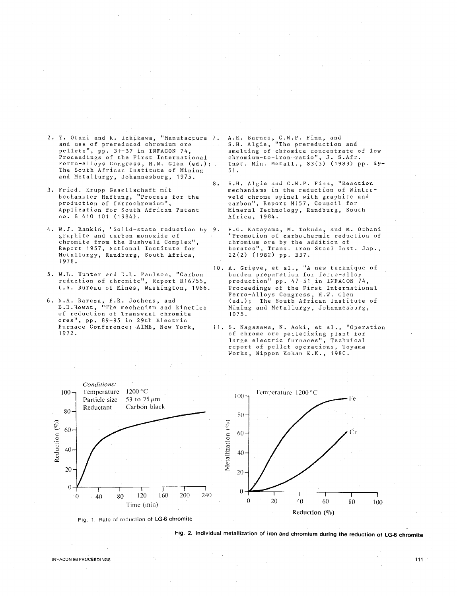- 2. Y. Otani and K. Ichikawa, "Manufacture 7. and use of prereduced chromium ore pellets", pp. 31-37 in INFACON 74, Proceedings of the First International Ferro-Alloys Congress, H~w. Glen (ed.); The South African Institute of Mining and Metallurgy, Johannesburg, 1975. 8.
- 3. Fried. Krupp Gesellschaft mit bechankter Haftung, "Process for the production of ferrochromium", Application for South African Patent no. 8 410 101 (1984).
- 4. W.J. Rankin, "Solid-state reduction by 9. graphite and carbon monoxide of chromite from the Bushveld Complex", Report 1957, National Institute for Metallurgy, Randburg, South Africa, 197 8.
- 5. W.L. Hunter and D.L. Paulson, "Carbon reduction of chromite", Report R16755, U.S. Bureau of Mines, Washington, 1966.
- 6. N.A. Barcza, P.R. Jochens, and D.D.Howat, "The mechanism and kinetics of reduction of Transvaal chromite ores", pp. 89-95 in 29th Electric Furnace Conference; AIME, New York, 1972.

A.R. Barnes, C.W.P. Finn, and S.H. Algie, "The prereduction and **smelting of chromite concentrate of low**  chromium-to-iron ratio", J. S.Afr. Inst. Min. Metall., 83(3) (1983) pp. 49- 51 .

- S.H. Algie and C.W.P. Finn, "Reaction mechanisms in the reduction of Winterveld chrome spinel with graphite and carbon", Report M157, Council for Mineral Technology, Randburg, South Africa, 1984.
- H.G. Katayama, M. Tokuda, and M. Othani "Promotion of earbothermic reduction of chromium ore by the addition of borates", Trans. Iron Steel Inst. Jap., 22(2) (1982) pp. B37.
- 10. A. Grieve, et al., "A new technique of burden preparation for ferro-alloy production" pp. 47-51 in INFACON 74, Proceedings of the First International Ferro-Alloys Congress, H.W. Glen (ed.); The South African Institute of Mining and Metallurgy, Johannesburg, 1975.
- 11. S. Nagasawa, N. Aoki, et al., "Operation of chrome ore pelletizing plant for large electric furnaces", Technical report of pellet operations, Toyama Works, Nippon Kokan K.K., 1980.



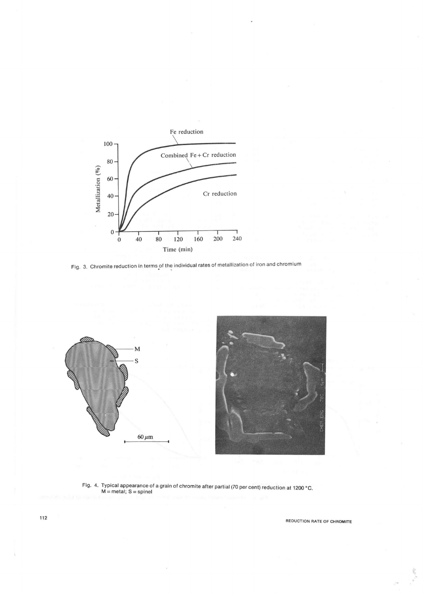





Fig. 4. Typical appearance of a grain of chromite after partial (70 per cent) reduction at 1200 °C.<br>M = metal; S = spinel

112<br>REDUCTION RATE OF CHROMITE

 $\mathcal{O}(\mathcal{O}^{\mathcal{A}})$